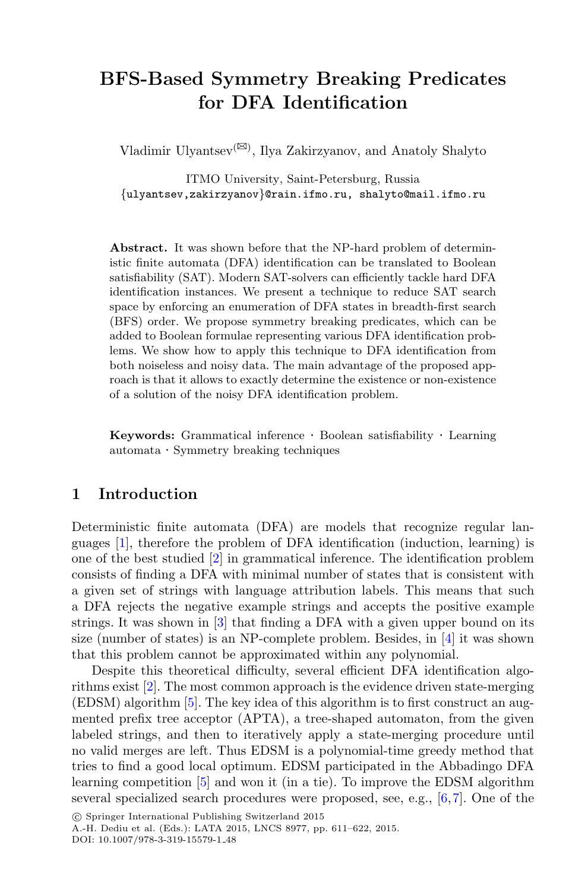# **BFS-Based Symmetry Breaking Predicates for DFA Identification**

Vladimir Ulyantsev $^{(\boxtimes)}$ , Ilya Zakirzyanov, and Anatoly Shalyto

ITMO University, Saint-Petersburg, Russia {ulyantsev,zakirzyanov}@rain.ifmo.ru, shalyto@mail.ifmo.ru

**Abstract.** It was shown before that the NP-hard problem of deterministic finite automata (DFA) identification can be translated to Boolean satisfiability (SAT). Modern SAT-solvers can efficiently tackle hard DFA identification instances. We present a technique to reduce SAT search space by enforcing an enumeration of DFA states in breadth-first search (BFS) order. We propose symmetry breaking predicates, which can be added to Boolean formulae representing various DFA identification problems. We show how to apply this technique to DFA identification from both noiseless and noisy data. The main advantage of the proposed approach is that it allows to exactly determine the existence or non-existence of a solution of the noisy DFA identification problem.

**Keywords:** Grammatical inference · Boolean satisfiability · Learning automata · Symmetry breaking techniques

#### **1 Introduction**

Deterministic finite automata (DFA) are models that recognize regular languages [\[1\]](#page-10-0), therefore the problem of DFA identification (induction, learning) is one of the best studied [\[2\]](#page-10-1) in grammatical inference. The identification problem consists of finding a DFA with minimal number of states that is consistent with a given set of strings with language attribution labels. This means that such a DFA rejects the negative example strings and accepts the positive example strings. It was shown in [\[3](#page-10-2)] that finding a DFA with a given upper bound on its size (number of states) is an NP-complete problem. Besides, in [\[4\]](#page-10-3) it was shown that this problem cannot be approximated within any polynomial.

Despite this theoretical difficulty, several efficient DFA identification algorithms exist [\[2\]](#page-10-1). The most common approach is the evidence driven state-merging (EDSM) algorithm [\[5](#page-10-4)]. The key idea of this algorithm is to first construct an augmented prefix tree acceptor (APTA), a tree-shaped automaton, from the given labeled strings, and then to iteratively apply a state-merging procedure until no valid merges are left. Thus EDSM is a polynomial-time greedy method that tries to find a good local optimum. EDSM participated in the Abbadingo DFA learning competition [\[5\]](#page-10-4) and won it (in a tie). To improve the EDSM algorithm several specialized search procedures were proposed, see, e.g., [\[6](#page-10-5)[,7](#page-10-6)]. One of the

<sup>-</sup>c Springer International Publishing Switzerland 2015

A.-H. Dediu et al. (Eds.): LATA 2015, LNCS 8977, pp. 611–622, 2015. DOI: 10.1007/978-3-319-15579-1 48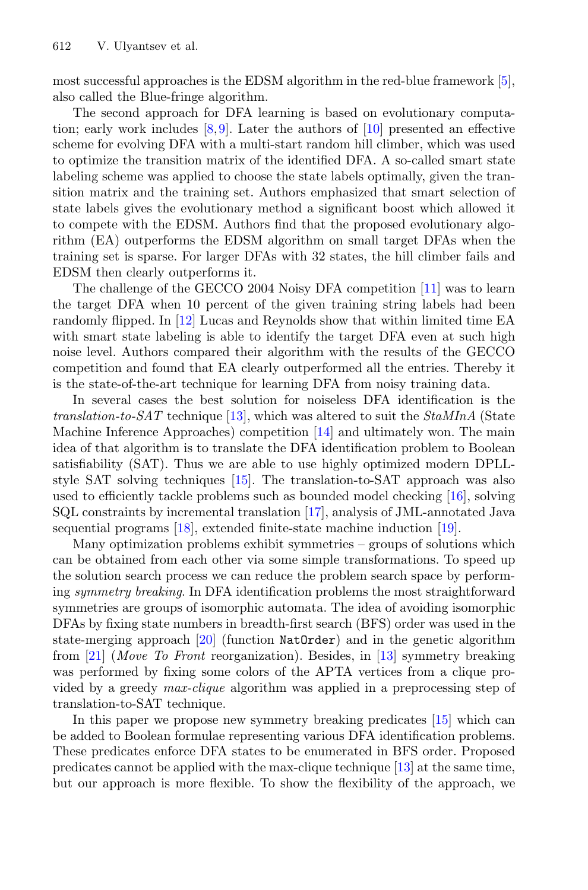most successful approaches is the EDSM algorithm in the red-blue framework [\[5\]](#page-10-4), also called the Blue-fringe algorithm.

The second approach for DFA learning is based on evolutionary computation; early work includes [\[8,](#page-11-0)[9](#page-11-1)]. Later the authors of [\[10\]](#page-11-2) presented an effective scheme for evolving DFA with a multi-start random hill climber, which was used to optimize the transition matrix of the identified DFA. A so-called smart state labeling scheme was applied to choose the state labels optimally, given the transition matrix and the training set. Authors emphasized that smart selection of state labels gives the evolutionary method a significant boost which allowed it to compete with the EDSM. Authors find that the proposed evolutionary algorithm (EA) outperforms the EDSM algorithm on small target DFAs when the training set is sparse. For larger DFAs with 32 states, the hill climber fails and EDSM then clearly outperforms it.

The challenge of the GECCO 2004 Noisy DFA competition [\[11\]](#page-11-3) was to learn the target DFA when 10 percent of the given training string labels had been randomly flipped. In [\[12\]](#page-11-4) Lucas and Reynolds show that within limited time EA with smart state labeling is able to identify the target DFA even at such high noise level. Authors compared their algorithm with the results of the GECCO competition and found that EA clearly outperformed all the entries. Thereby it is the state-of-the-art technique for learning DFA from noisy training data.

In several cases the best solution for noiseless DFA identification is the *translation-to-SAT* technique [\[13\]](#page-11-5), which was altered to suit the *StaMInA* (State Machine Inference Approaches) competition [\[14\]](#page-11-6) and ultimately won. The main idea of that algorithm is to translate the DFA identification problem to Boolean satisfiability (SAT). Thus we are able to use highly optimized modern DPLLstyle SAT solving techniques [\[15](#page-11-7)]. The translation-to-SAT approach was also used to efficiently tackle problems such as bounded model checking [\[16](#page-11-8)], solving SQL constraints by incremental translation [\[17](#page-11-9)], analysis of JML-annotated Java sequential programs [\[18\]](#page-11-10), extended finite-state machine induction [\[19\]](#page-11-11).

Many optimization problems exhibit symmetries – groups of solutions which can be obtained from each other via some simple transformations. To speed up the solution search process we can reduce the problem search space by performing *symmetry breaking*. In DFA identification problems the most straightforward symmetries are groups of isomorphic automata. The idea of avoiding isomorphic DFAs by fixing state numbers in breadth-first search (BFS) order was used in the state-merging approach [\[20\]](#page-11-12) (function NatOrder) and in the genetic algorithm from [\[21](#page-11-13)] (*Move To Front* reorganization). Besides, in [\[13](#page-11-5)] symmetry breaking was performed by fixing some colors of the APTA vertices from a clique provided by a greedy *max-clique* algorithm was applied in a preprocessing step of translation-to-SAT technique.

In this paper we propose new symmetry breaking predicates [\[15](#page-11-7)] which can be added to Boolean formulae representing various DFA identification problems. These predicates enforce DFA states to be enumerated in BFS order. Proposed predicates cannot be applied with the max-clique technique [\[13\]](#page-11-5) at the same time, but our approach is more flexible. To show the flexibility of the approach, we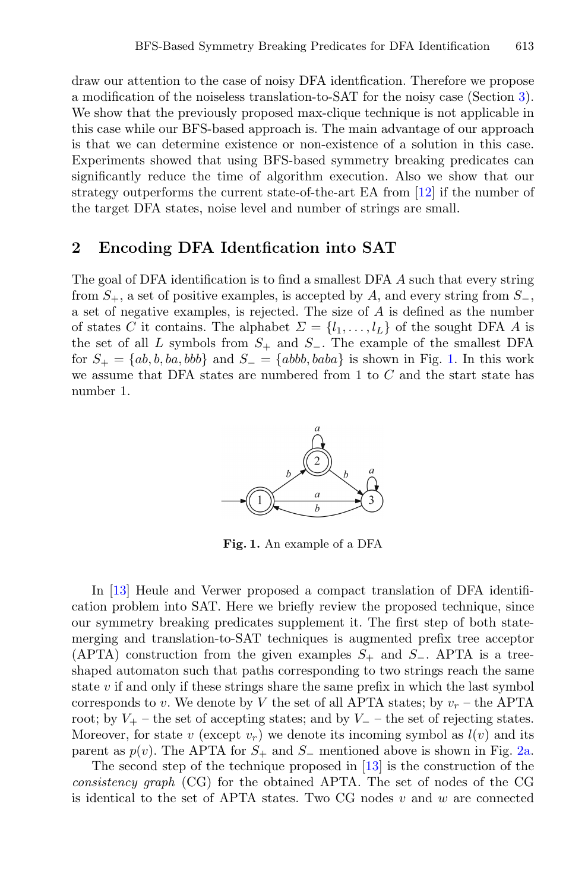draw our attention to the case of noisy DFA identfication. Therefore we propose a modification of the noiseless translation-to-SAT for the noisy case (Section [3\)](#page-4-0). We show that the previously proposed max-clique technique is not applicable in this case while our BFS-based approach is. The main advantage of our approach is that we can determine existence or non-existence of a solution in this case. Experiments showed that using BFS-based symmetry breaking predicates can significantly reduce the time of algorithm execution. Also we show that our strategy outperforms the current state-of-the-art EA from [\[12\]](#page-11-4) if the number of the target DFA states, noise level and number of strings are small.

#### <span id="page-2-1"></span>**2 Encoding DFA Identfication into SAT**

The goal of DFA identification is to find a smallest DFA A such that every string from  $S_+$ , a set of positive examples, is accepted by A, and every string from  $S_-$ , a set of negative examples, is rejected. The size of A is defined as the number of states C it contains. The alphabet  $\Sigma = \{l_1, \ldots, l_L\}$  of the sought DFA A is the set of all L symbols from  $S_+$  and  $S_-$ . The example of the smallest DFA for  $S_+ = \{ab, b, ba, bbb\}$  and  $S_- = \{abbb, babab\}$  is shown in Fig. [1.](#page-2-0) In this work we assume that DFA states are numbered from 1 to  $C$  and the start state has number 1.



<span id="page-2-0"></span>**Fig. 1.** An example of a DFA

In [\[13\]](#page-11-5) Heule and Verwer proposed a compact translation of DFA identification problem into SAT. Here we briefly review the proposed technique, since our symmetry breaking predicates supplement it. The first step of both statemerging and translation-to-SAT techniques is augmented prefix tree acceptor (APTA) construction from the given examples  $S_+$  and  $S_-$ . APTA is a treeshaped automaton such that paths corresponding to two strings reach the same state v if and only if these strings share the same prefix in which the last symbol corresponds to v. We denote by V the set of all APTA states; by  $v_r$  – the APTA root; by  $V_+$  – the set of accepting states; and by  $V_-$  – the set of rejecting states. Moreover, for state v (except  $v_r$ ) we denote its incoming symbol as  $l(v)$  and its parent as  $p(v)$ . The APTA for  $S_+$  and  $S_-$  mentioned above is shown in Fig. [2a.](#page-3-0)

The second step of the technique proposed in [\[13](#page-11-5)] is the construction of the *consistency graph* (CG) for the obtained APTA. The set of nodes of the CG is identical to the set of APTA states. Two CG nodes  $v$  and  $w$  are connected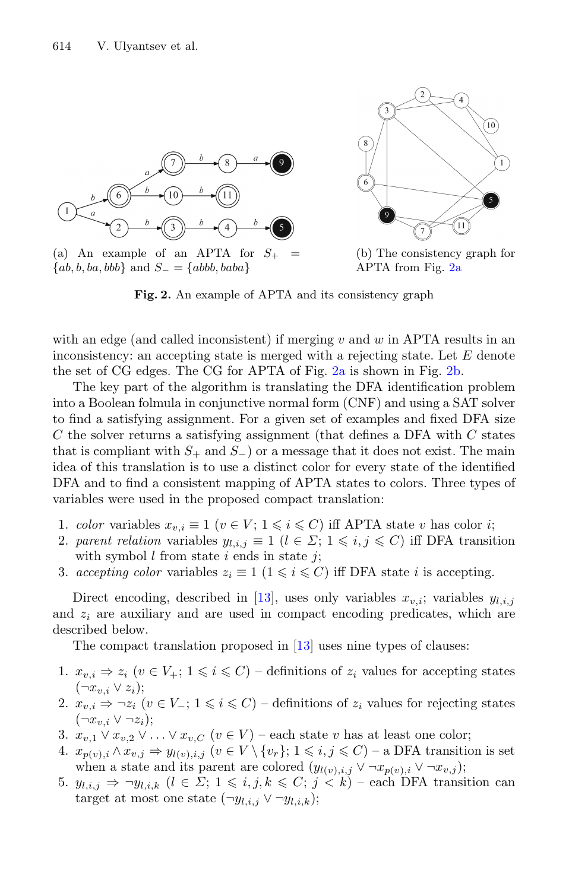<span id="page-3-0"></span>

(a) An example of an APTA for  $S_{+}$ {ab, b, ba, bbb} and S*<sup>−</sup>* = {abbb, baba}



<span id="page-3-1"></span>(b) The consistency graph for APTA from Fig. [2a](#page-3-0)

**Fig. 2.** An example of APTA and its consistency graph

with an edge (and called inconsistent) if merging  $v$  and  $w$  in APTA results in an inconsistency: an accepting state is merged with a rejecting state. Let  $E$  denote the set of CG edges. The CG for APTA of Fig. [2a](#page-3-0) is shown in Fig. [2b.](#page-3-1)

The key part of the algorithm is translating the DFA identification problem into a Boolean folmula in conjunctive normal form (CNF) and using a SAT solver to find a satisfying assignment. For a given set of examples and fixed DFA size C the solver returns a satisfying assignment (that defines a DFA with  $C$  states that is compliant with  $S_+$  and  $S_-$ ) or a message that it does not exist. The main idea of this translation is to use a distinct color for every state of the identified DFA and to find a consistent mapping of APTA states to colors. Three types of variables were used in the proposed compact translation:

- 1. *color* variables  $x_{v,i} \equiv 1$  ( $v \in V$ ;  $1 \leq i \leq C$ ) iff APTA state v has color *i*;
- 2. *parent relation* variables  $y_{l,i,j} \equiv 1$  ( $l \in \Sigma$ ;  $1 \leq i, j \leq C$ ) iff DFA transition with symbol  $l$  from state  $i$  ends in state  $j$ ;
- 3. *accepting color* variables  $z_i \equiv 1$  ( $1 \leq i \leq C$ ) iff DFA state *i* is accepting.

Direct encoding, described in [\[13\]](#page-11-5), uses only variables  $x_{v,i}$ ; variables  $y_{l,i,j}$ and  $z<sub>i</sub>$  are auxiliary and are used in compact encoding predicates, which are described below.

The compact translation proposed in [\[13\]](#page-11-5) uses nine types of clauses:

- 1.  $x_{v,i} \Rightarrow z_i$  ( $v \in V_+$ ;  $1 \leq i \leq C$ ) definitions of  $z_i$  values for accepting states  $(\neg x_{v,i} \vee z_i);$
- 2.  $x_{v,i} \Rightarrow \neg z_i$  ( $v \in V_-\;$ ;  $1 \leq i \leq C$ ) definitions of  $z_i$  values for rejecting states  $(\neg x_{v,i} \lor \neg z_i);$
- 3.  $x_{v,1} \vee x_{v,2} \vee \ldots \vee x_{v,C}$  ( $v \in V$ ) each state v has at least one color;
- 4.  $x_{p(v),i} \wedge x_{v,j} \Rightarrow y_{l(v),i,j}$   $(v \in V \setminus \{v_r\}; 1 \leq i,j \leq C)$  a DFA transition is set when a state and its parent are colored  $(y_{l(v),i,j} \vee \neg x_{p(v),i} \vee \neg x_{v,j});$
- 5.  $y_{l,i,j} \Rightarrow \neg y_{l,i,k}$   $(l \in \Sigma; 1 \leq i,j,k \leq C; j < k)$  each DFA transition can target at most one state  $(\neg y_{l,i,j} \lor \neg y_{l,i,k});$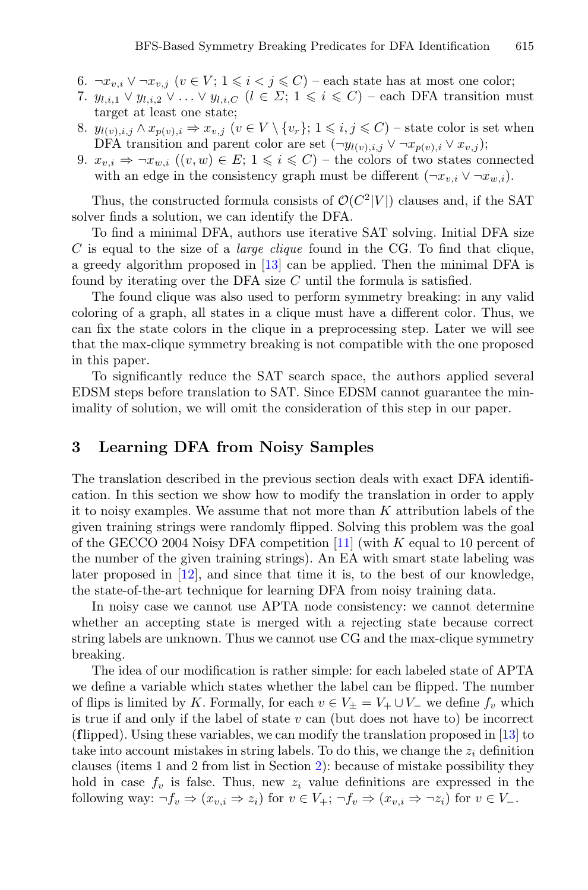- 6. ¬ $x_{v,i}$   $\vee$  ¬ $x_{v,j}$  ( $v \in V$ ;  $1 \leq i < j \leq C$ ) each state has at most one color;
- 7.  $y_{l,i,1} \vee y_{l,i,2} \vee \ldots \vee y_{l,i,C}$   $(l \in \Sigma; 1 \leqslant i \leqslant C)$  each DFA transition must target at least one state;
- 8.  $y_{l(v),i,j} \wedge x_{p(v),i} \Rightarrow x_{v,j}$  ( $v \in V \setminus \{v_r\}; 1 \leq i,j \leq C$ ) state color is set when DFA transition and parent color are set  $(\neg y_{l(v),i,j} \lor \neg x_{p(v),i} \lor x_{v,j});$
- 9.  $x_{v,i} \Rightarrow \neg x_{w,i}$  ( $(v, w) \in E$ ;  $1 \leqslant i \leqslant C$ ) the colors of two states connected with an edge in the consistency graph must be different  $(\neg x_{v,i} \lor \neg x_{w,i})$ .

Thus, the constructed formula consists of  $\mathcal{O}(C^2|V|)$  clauses and, if the SAT solver finds a solution, we can identify the DFA.

To find a minimal DFA, authors use iterative SAT solving. Initial DFA size C is equal to the size of a *large clique* found in the CG. To find that clique, a greedy algorithm proposed in [\[13](#page-11-5)] can be applied. Then the minimal DFA is found by iterating over the DFA size C until the formula is satisfied.

The found clique was also used to perform symmetry breaking: in any valid coloring of a graph, all states in a clique must have a different color. Thus, we can fix the state colors in the clique in a preprocessing step. Later we will see that the max-clique symmetry breaking is not compatible with the one proposed in this paper.

To significantly reduce the SAT search space, the authors applied several EDSM steps before translation to SAT. Since EDSM cannot guarantee the minimality of solution, we will omit the consideration of this step in our paper.

#### <span id="page-4-0"></span>**3 Learning DFA from Noisy Samples**

The translation described in the previous section deals with exact DFA identification. In this section we show how to modify the translation in order to apply it to noisy examples. We assume that not more than  $K$  attribution labels of the given training strings were randomly flipped. Solving this problem was the goal of the GECCO 2004 Noisy DFA competition [\[11\]](#page-11-3) (with  $K$  equal to 10 percent of the number of the given training strings). An EA with smart state labeling was later proposed in [\[12](#page-11-4)], and since that time it is, to the best of our knowledge, the state-of-the-art technique for learning DFA from noisy training data.

In noisy case we cannot use APTA node consistency: we cannot determine whether an accepting state is merged with a rejecting state because correct string labels are unknown. Thus we cannot use CG and the max-clique symmetry breaking.

The idea of our modification is rather simple: for each labeled state of APTA we define a variable which states whether the label can be flipped. The number of flips is limited by K. Formally, for each  $v \in V_{\pm} = V_{+} \cup V_{-}$  we define  $f_v$  which is true if and only if the label of state  $v$  can (but does not have to) be incorrect (**f**lipped). Using these variables, we can modify the translation proposed in [\[13\]](#page-11-5) to take into account mistakes in string labels. To do this, we change the z*<sup>i</sup>* definition clauses (items 1 and 2 from list in Section [2\)](#page-2-1): because of mistake possibility they hold in case  $f_v$  is false. Thus, new  $z_i$  value definitions are expressed in the following way:  $\neg f_v \Rightarrow (x_{v,i} \Rightarrow z_i)$  for  $v \in V_+$ ;  $\neg f_v \Rightarrow (x_{v,i} \Rightarrow \neg z_i)$  for  $v \in V_-$ .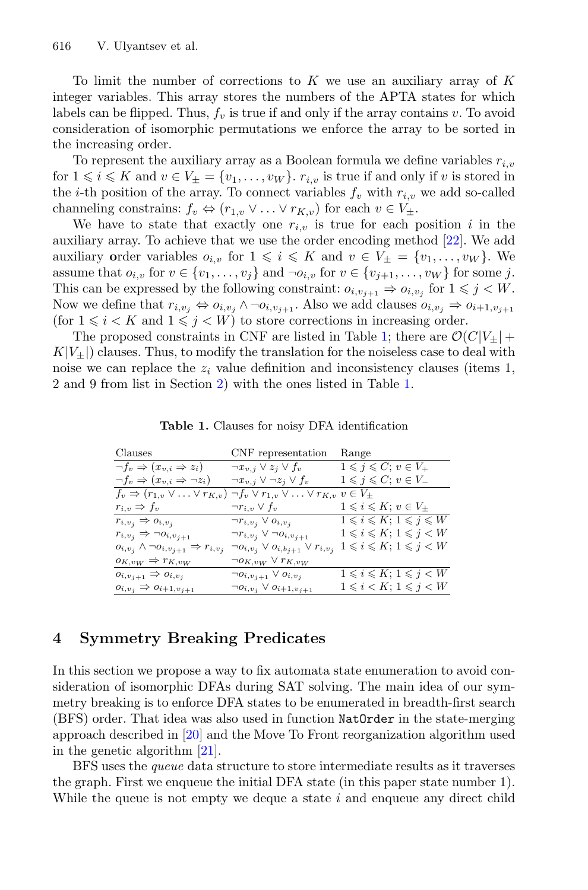To limit the number of corrections to  $K$  we use an auxiliary array of  $K$ integer variables. This array stores the numbers of the APTA states for which labels can be flipped. Thus,  $f_v$  is true if and only if the array contains  $v$ . To avoid consideration of isomorphic permutations we enforce the array to be sorted in the increasing order.

To represent the auxiliary array as a Boolean formula we define variables  $r_{i,v}$ for  $1 \leq i \leq K$  and  $v \in V_{\pm} = \{v_1, \ldots, v_W\}$ .  $r_{i,v}$  is true if and only if v is stored in the *i*-th position of the array. To connect variables  $f_v$  with  $r_{i,v}$  we add so-called channeling constrains:  $f_v \Leftrightarrow (r_{1,v} \vee \ldots \vee r_{K,v})$  for each  $v \in V_{\pm}$ .

We have to state that exactly one  $r_{i,v}$  is true for each position i in the auxiliary array. To achieve that we use the order encoding method [\[22\]](#page-11-14). We add auxiliary **o**rder variables  $o_{i,v}$  for  $1 \leq i \leq K$  and  $v \in V_{\pm} = \{v_1, \ldots, v_W\}$ . We assume that  $o_{i,v}$  for  $v \in \{v_1,\ldots,v_j\}$  and  $\neg o_{i,v}$  for  $v \in \{v_{j+1},\ldots,v_W\}$  for some j. This can be expressed by the following constraint:  $o_{i,v_{j+1}} \Rightarrow o_{i,v_j}$  for  $1 \leq j \leq W$ . Now we define that  $r_{i,v_i} \Leftrightarrow o_{i,v_i} \wedge \neg o_{i,v_{i+1}}$ . Also we add clauses  $o_{i,v_j} \Rightarrow o_{i+1,v_{j+1}}$ (for  $1 \le i \le K$  and  $1 \le j \le W$ ) to store corrections in increasing order.

The proposed constraints in CNF are listed in Table [1;](#page-5-0) there are  $\mathcal{O}(C|V_{\pm}| +$  $K|V_{+}|$ ) clauses. Thus, to modify the translation for the noiseless case to deal with noise we can replace the  $z_i$  value definition and inconsistency clauses (items  $1$ , 2 and 9 from list in Section [2\)](#page-2-1) with the ones listed in Table [1.](#page-5-0)

<span id="page-5-0"></span>

| Clauses                                                                                                                | CNF representation                                 | Range                                                     |
|------------------------------------------------------------------------------------------------------------------------|----------------------------------------------------|-----------------------------------------------------------|
| $\neg f_v \Rightarrow (x_{v,i} \Rightarrow z_i)$                                                                       | $\neg x_{v,j} \vee z_j \vee f_v$                   | $1\leqslant j\leqslant C;\, v\in V_+$                     |
| $\neg f_v \Rightarrow (x_{v,i} \Rightarrow \neg z_i)$                                                                  | $\neg x_{v,j} \vee \neg z_j \vee f_v$              | $1\leqslant j\leqslant C;\, v\in V_-$                     |
| $f_v \Rightarrow (r_{1,v} \vee \ldots \vee r_{K,v}) \neg f_v \vee r_{1,v} \vee \ldots \vee r_{K,v} \vee v \in V_{\pm}$ |                                                    |                                                           |
| $r_{i,v} \Rightarrow f_v$                                                                                              | $\neg r_{i,v} \vee f_v$                            | $1 \leqslant i \leqslant K$ ; $v \in V_{\pm}$             |
| $r_{i,v_i} \Rightarrow o_{i,v_i}$                                                                                      | $\neg r_{i,v_j} \vee o_{i,v_j}$                    | $1 \leq i \leq K$ ; $1 \leq j \leq W$                     |
| $r_{i,v_j} \Rightarrow \neg o_{i,v_{j+1}}$                                                                             | $\neg r_{i,v_i} \vee \neg o_{i,v_{i+1}}$           | $1 \leqslant i \leqslant K$ ; $1 \leqslant j \leqslant W$ |
| $o_{i,v_i} \wedge \neg o_{i,v_{i+1}} \Rightarrow r_{i,v_i}$                                                            | $\neg o_{i,v_i} \vee o_{i,b_{i+1}} \vee r_{i,v_i}$ | $1 \leqslant i \leqslant K$ ; $1 \leqslant j \leqslant W$ |
| $o_{K,v_W} \Rightarrow r_{K,v_W}$                                                                                      | $\neg o_{K,v_W} \vee r_{K,v_W}$                    |                                                           |
| $o_{i,v_{j+1}} \Rightarrow o_{i,v_j}$                                                                                  | $\neg o_{i,v_{j+1}} \vee o_{i,v_j}$                | $1 \leqslant i \leqslant K$ ; $1 \leqslant j \leqslant W$ |
| $o_{i,v_j} \Rightarrow o_{i+1,v_{j+1}}$                                                                                | $\neg o_{i,v_j} \lor o_{i+1,v_{j+1}}$              | $1\leqslant i < K; 1\leqslant j < W$                      |

**Table 1.** Clauses for noisy DFA identification

### **4 Symmetry Breaking Predicates**

In this section we propose a way to fix automata state enumeration to avoid consideration of isomorphic DFAs during SAT solving. The main idea of our symmetry breaking is to enforce DFA states to be enumerated in breadth-first search (BFS) order. That idea was also used in function NatOrder in the state-merging approach described in [\[20\]](#page-11-12) and the Move To Front reorganization algorithm used in the genetic algorithm [\[21](#page-11-13)].

BFS uses the *queue* data structure to store intermediate results as it traverses the graph. First we enqueue the initial DFA state (in this paper state number 1). While the queue is not empty we deque a state  $i$  and enqueue any direct child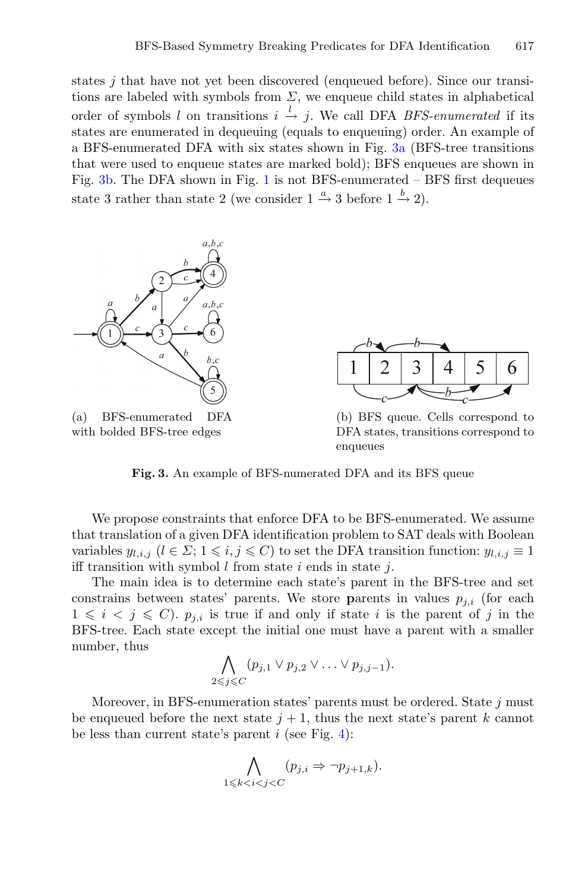states j that have not yet been discovered (enqueued before). Since our transitions are labeled with symbols from  $\Sigma$ , we enqueue child states in alphabetical order of symbols l on transitions  $i \stackrel{l}{\rightarrow} j$ . We call DFA *BFS-enumerated* if its states are enumerated in dequeuing (equals to enqueuing) order. An example of a BFS-enumerated DFA with six states shown in Fig. [3a](#page-6-0) (BFS-tree transitions that were used to enqueue states are marked bold); BFS enqueues are shown in Fig. [3b.](#page-6-1) The DFA shown in Fig. [1](#page-2-0) is not BFS-enumerated – BFS first dequeues state 3 rather than state 2 (we consider  $1 \stackrel{a}{\rightarrow} 3$  before  $1 \stackrel{b}{\rightarrow} 2$ ).

<span id="page-6-0"></span>

(a) BFS-enumerated DFA with bolded BFS-tree edges



<span id="page-6-1"></span>(b) BFS queue. Cells correspond to DFA states, transitions correspond to enqueues

**Fig. 3.** An example of BFS-numerated DFA and its BFS queue

We propose constraints that enforce DFA to be BFS-enumerated. We assume that translation of a given DFA identification problem to SAT deals with Boolean variables  $y_{l,i,j}$   $(l \in \Sigma; 1 \leq i, j \leq C)$  to set the DFA transition function:  $y_{l,i,j} \equiv 1$ iff transition with symbol  $l$  from state  $i$  ends in state  $j$ .

The main idea is to determine each state's parent in the BFS-tree and set constrains between states' parents. We store **p**arents in values  $p_{j,i}$  (for each  $1 \leq i \leq j \leq C$ ).  $p_{j,i}$  is true if and only if state i is the parent of j in the BFS-tree. Each state except the initial one must have a parent with a smaller number, thus

$$
\bigwedge_{2\leqslant j\leqslant C}(p_{j,1}\vee p_{j,2}\vee\ldots\vee p_{j,j-1}).
$$

Moreover, in BFS-enumeration states' parents must be ordered. State  $j$  must be enqueued before the next state  $j + 1$ , thus the next state's parent k cannot be less than current state's parent  $i$  (see Fig. [4\)](#page-7-0):

$$
\bigwedge_{1 \leqslant k < i < j < C} (p_{j,i} \Rightarrow \neg p_{j+1,k}).
$$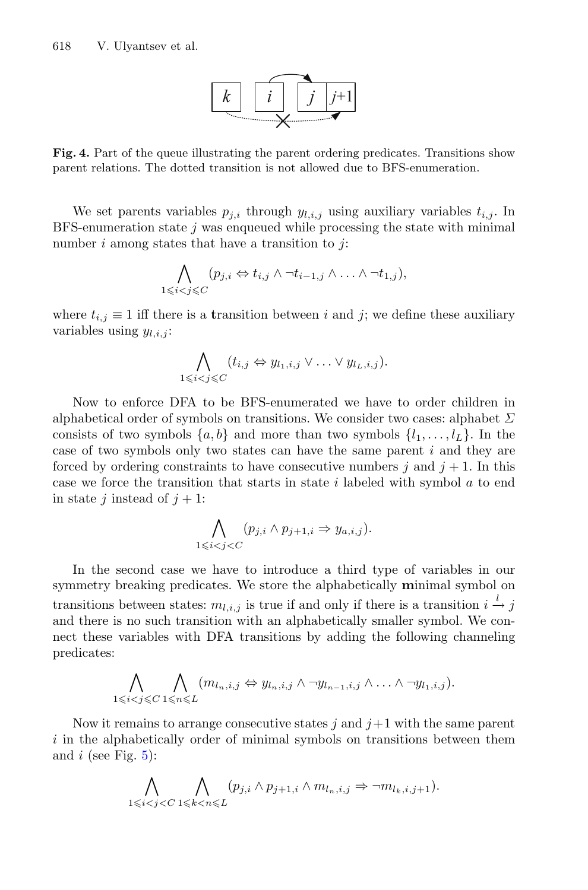

<span id="page-7-0"></span>Fig. 4. Part of the queue illustrating the parent ordering predicates. Transitions show parent relations. The dotted transition is not allowed due to BFS-enumeration.

We set parents variables  $p_{j,i}$  through  $y_{l,i,j}$  using auxiliary variables  $t_{i,j}$ . In BFS-enumeration state  $j$  was enqueued while processing the state with minimal number  $i$  among states that have a transition to  $i$ :

$$
\bigwedge_{1\leqslant i
$$

where  $t_{i,j} \equiv 1$  iff there is a **t**ransition between i and j; we define these auxiliary variables using  $y_{l,i,j}$ :

$$
\bigwedge_{1\leqslant i
$$

Now to enforce DFA to be BFS-enumerated we have to order children in alphabetical order of symbols on transitions. We consider two cases: alphabet  $\Sigma$ consists of two symbols  $\{a, b\}$  and more than two symbols  $\{l_1, \ldots, l_L\}$ . In the case of two symbols only two states can have the same parent  $i$  and they are forced by ordering constraints to have consecutive numbers  $j$  and  $j + 1$ . In this case we force the transition that starts in state  $i$  labeled with symbol  $a$  to end in state *i* instead of  $i + 1$ :

$$
\bigwedge_{1 \leq i < j < C} (p_{j,i} \land p_{j+1,i} \Rightarrow y_{a,i,j}).
$$

In the second case we have to introduce a third type of variables in our symmetry breaking predicates. We store the alphabetically **m**inimal symbol on transitions between states:  $m_{l,i,j}$  is true if and only if there is a transition  $i \stackrel{l}{\rightarrow} j$ and there is no such transition with an alphabetically smaller symbol. We connect these variables with DFA transitions by adding the following channeling predicates:

$$
\bigwedge_{1\leqslant i
$$

Now it remains to arrange consecutive states j and  $j+1$  with the same parent i in the alphabetically order of minimal symbols on transitions between them and i (see Fig.  $5$ ):

$$
\bigwedge_{1 \leq i < j < C} \bigwedge_{1 \leq k < n \leq L} (p_{j,i} \land p_{j+1,i} \land m_{l_n,i,j} \Rightarrow \neg m_{l_k,i,j+1}).
$$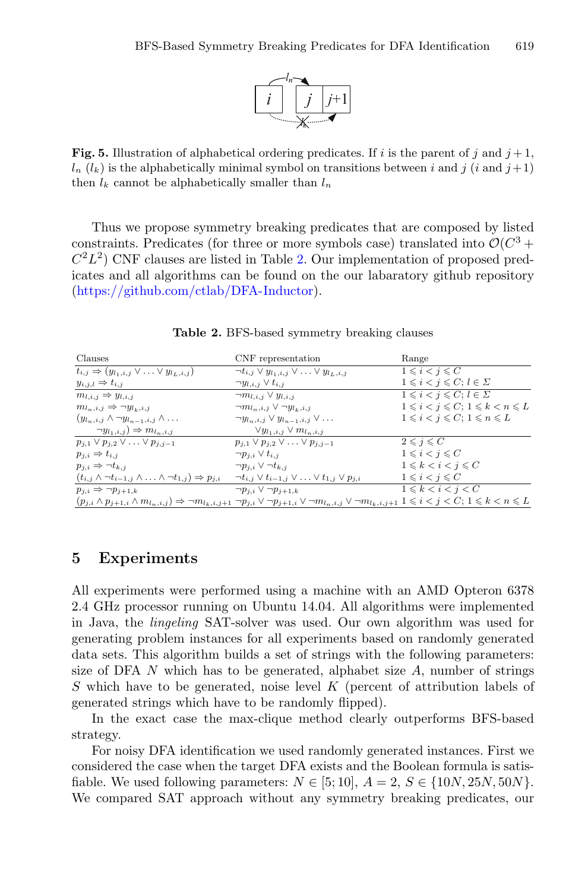

<span id="page-8-0"></span>**Fig. 5.** Illustration of alphabetical ordering predicates. If i is the parent of j and  $j + 1$ ,  $l_n$  ( $l_k$ ) is the alphabetically minimal symbol on transitions between i and j (i and j+1) then  $l_k$  cannot be alphabetically smaller than  $l_n$ 

Thus we propose symmetry breaking predicates that are composed by listed constraints. Predicates (for three or more symbols case) translated into  $\mathcal{O}(C^3 +$  $C^2L^2$ ) CNF clauses are listed in Table [2.](#page-8-1) Our implementation of proposed predicates and all algorithms can be found on the our labaratory github repository [\(https://github.com/ctlab/DFA-Inductor\)](https://github.com/ctlab/DFA-Inductor).

| Clauses                                                                                 | CNF representation                                                                                                                                                                 | Range                                                          |
|-----------------------------------------------------------------------------------------|------------------------------------------------------------------------------------------------------------------------------------------------------------------------------------|----------------------------------------------------------------|
| $t_{i,j} \Rightarrow (y_{l_1,i,j} \vee \ldots \vee y_{l_L,i,j})$                        | $\neg t_{i,j} \vee y_{l_1,i,j} \vee \ldots \vee y_{l_L,i,j}$                                                                                                                       | $1\leqslant i< j\leqslant C$                                   |
| $y_{i,j,l}\Rightarrow t_{i,j}$                                                          | $\neg y_{l,i,j} \vee t_{i,j}$                                                                                                                                                      | $1\leqslant i< j\leqslant C;\, l\in \varSigma$                 |
| $m_{l,i,j} \Rightarrow y_{l,i,j}$                                                       | $\neg m_{l,i,j} \vee y_{l,i,j}$                                                                                                                                                    | $1\leqslant i< j\leqslant C; l\in \Sigma$                      |
| $m_{l_n,i,j} \Rightarrow \neg y_{l_k,i,j}$                                              | $\neg m_{l_n,i,j} \vee \neg y_{l_k,i,j}$                                                                                                                                           | $1\leqslant i < j \leqslant C;$ $1\leqslant k < n \leqslant L$ |
| $(y_{l_n,i,j} \wedge \neg y_{l_{n-1},i,j} \wedge \dots)$                                | $\neg y_{l_n,i,j} \vee y_{l_{n-1},i,j} \vee \ldots$                                                                                                                                | $1 \leq i < j \leq C; 1 \leq n \leq L$                         |
| $\neg y_{l_1,i,j}\rightarrow m_{l_n,i,j}$                                               | $\vee y_{l_1,i,j} \vee m_{l_n,i,j}$                                                                                                                                                |                                                                |
| $p_{j,1} \vee p_{j,2} \vee \ldots \vee p_{j,j-1}$                                       | $p_{i,1} \vee p_{i,2} \vee \ldots \vee p_{i,j-1}$                                                                                                                                  | $2 \leq i \leq C$                                              |
| $p_{i,i} \Rightarrow t_{i,j}$                                                           | $\neg p_{i,i} \vee t_{i,j}$                                                                                                                                                        | $1\leq i < j \leq C$                                           |
| $p_{i,i} \Rightarrow \neg t_{k,j}$                                                      | $\neg p_{i,i} \vee \neg t_{k,i}$                                                                                                                                                   | $1 \leqslant k < i < j \leqslant C$                            |
| $(t_{i,j} \wedge \neg t_{i-1,j} \wedge \ldots \wedge \neg t_{1,j}) \Rightarrow p_{j,i}$ | $\neg t_{i,j} \vee t_{i-1,j} \vee \ldots \vee t_{1,j} \vee p_{j,i}$                                                                                                                | $1 \leq i < j \leq C$                                          |
| $p_{j,i} \Rightarrow \neg p_{j+1,k}$                                                    | $\neg p_{j,i} \vee \neg p_{j+1,k}$                                                                                                                                                 | $1\leqslant k < i < j < C$                                     |
|                                                                                         | $\underbrace{(p_{j,i}\wedge p_{j+1,i}\wedge m_{l_n,i,j})\Rightarrow \neg m_{l_k,i,j+1}\ \neg p_{j,i}\vee \neg p_{j+1,i}\vee \neg m_{l_n,i,j}\vee \neg m_{l_k,i,j+1}\ 1\leqslant i$ |                                                                |

<span id="page-8-1"></span>**Table 2.** BFS-based symmetry breaking clauses

### **5 Experiments**

All experiments were performed using a machine with an AMD Opteron 6378 2.4 GHz processor running on Ubuntu 14.04. All algorithms were implemented in Java, the *lingeling* SAT-solver was used. Our own algorithm was used for generating problem instances for all experiments based on randomly generated data sets. This algorithm builds a set of strings with the following parameters: size of DFA  $N$  which has to be generated, alphabet size  $A$ , number of strings S which have to be generated, noise level  $K$  (percent of attribution labels of generated strings which have to be randomly flipped).

In the exact case the max-clique method clearly outperforms BFS-based strategy.

For noisy DFA identification we used randomly generated instances. First we considered the case when the target DFA exists and the Boolean formula is satisfiable. We used following parameters:  $N \in [5, 10]$ ,  $A = 2$ ,  $S \in \{10N, 25N, 50N\}$ . We compared SAT approach without any symmetry breaking predicates, our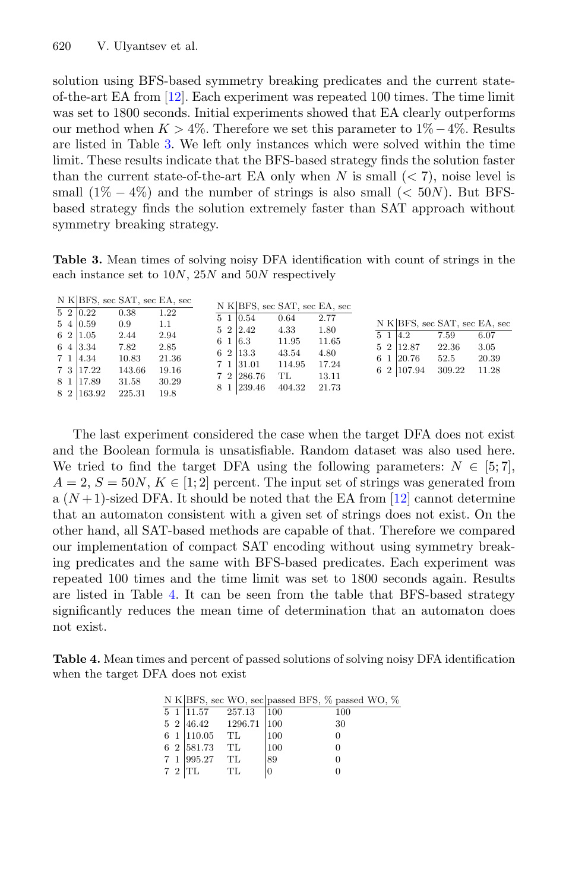solution using BFS-based symmetry breaking predicates and the current stateof-the-art EA from [\[12\]](#page-11-4). Each experiment was repeated 100 times. The time limit was set to 1800 seconds. Initial experiments showed that EA clearly outperforms our method when  $K > 4\%$ . Therefore we set this parameter to 1% − 4%. Results are listed in Table [3.](#page-9-0) We left only instances which were solved within the time limit. These results indicate that the BFS-based strategy finds the solution faster than the current state-of-the-art EA only when  $N$  is small  $(< 7)$ , noise level is small  $(1\% - 4\%)$  and the number of strings is also small  $( $50N$ ). But BFS$ based strategy finds the solution extremely faster than SAT approach without symmetry breaking strategy.

<span id="page-9-0"></span>**Table 3.** Mean times of solving noisy DFA identification with count of strings in the each instance set to  $10N$ ,  $25N$  and  $50N$  respectively

| 5 2 0.22<br>5 4 0.59<br>$6\;\;2\; 1.05$<br>6 4 3.34<br>7 1 4.34 |                                      | N K BFS, sec SAT, sec EA, sec<br>0.38<br>0.9<br>2.44<br>7.82<br>10.83 | 1.22<br>1.1<br>2.94<br>2.85<br>21.36 | N K BFS, sec SAT, sec EA, sec<br>$5 \t1 \t0.54$<br>5 2 2.42<br>6 1 6.3<br>6 $2 \vert 13.3$<br>7 1 31.01 | 0.64<br>4.33<br>11.95<br>43.54<br>114.95 | 2.77<br>1.80<br>11.65<br>4.80<br>17.24 | N K BFS, sec SAT, sec EA, sec<br>5 1 4.2<br>5 2 12.87<br>$6 \quad 1 \quad 20.76$ | 7.59<br>22.36<br>52.5 | 6.07<br>3.05<br>20.39 |
|-----------------------------------------------------------------|--------------------------------------|-----------------------------------------------------------------------|--------------------------------------|---------------------------------------------------------------------------------------------------------|------------------------------------------|----------------------------------------|----------------------------------------------------------------------------------|-----------------------|-----------------------|
|                                                                 | 7 3 17.22<br>8 1 17.89<br>8 2 163.92 | 143.66<br>31.58<br>225.31                                             | 19.16<br>30.29<br>19.8               | 7 2 286.76<br>8 1 239.46                                                                                | TL<br>404.32                             | 13.11<br>21.73                         | 6 2 107.94                                                                       | 309.22                | 11.28                 |

The last experiment considered the case when the target DFA does not exist and the Boolean formula is unsatisfiable. Random dataset was also used here. We tried to find the target DFA using the following parameters:  $N \in [5, 7]$ ,  $A = 2, S = 50N, K \in [1, 2]$  percent. The input set of strings was generated from a  $(N+1)$ -sized DFA. It should be noted that the EA from [\[12](#page-11-4)] cannot determine that an automaton consistent with a given set of strings does not exist. On the other hand, all SAT-based methods are capable of that. Therefore we compared our implementation of compact SAT encoding without using symmetry breaking predicates and the same with BFS-based predicates. Each experiment was repeated 100 times and the time limit was set to 1800 seconds again. Results are listed in Table [4.](#page-9-1) It can be seen from the table that BFS-based strategy significantly reduces the mean time of determination that an automaton does not exist.

<span id="page-9-1"></span>**Table 4.** Mean times and percent of passed solutions of solving noisy DFA identification when the target DFA does not exist

|  |                                                                                                                                                                                                                                            |    | N K BFS, sec WO, sec passed BFS, % passed WO, % |
|--|--------------------------------------------------------------------------------------------------------------------------------------------------------------------------------------------------------------------------------------------|----|-------------------------------------------------|
|  |                                                                                                                                                                                                                                            |    | 100                                             |
|  |                                                                                                                                                                                                                                            |    | - 30                                            |
|  |                                                                                                                                                                                                                                            |    |                                                 |
|  |                                                                                                                                                                                                                                            |    |                                                 |
|  |                                                                                                                                                                                                                                            | 89 |                                                 |
|  | $\begin{tabular}{lllllllllllll} \hline 5 & 1 & 11.57 & 257.13 & 100 \\ 5 & 2 & 46.42 & 1296.71 & 100 \\ 6 & 1 & 110.05 & TL & 100 \\ 6 & 2 & 581.73 & TL & 100 \\ 7 & 1 & 995.27 & TL & 89 \\ 7 & 2 & TL & TL & 0 \\ \hline \end{tabular}$ |    |                                                 |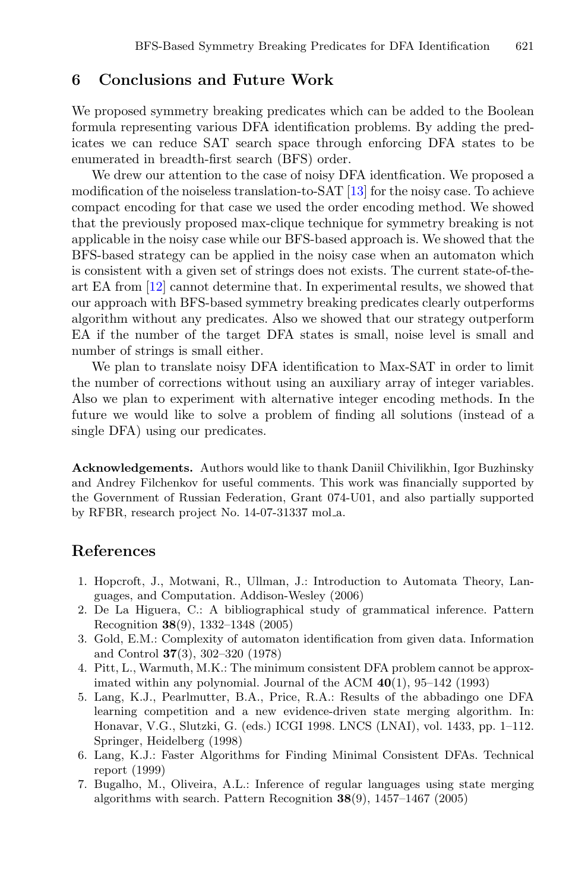## **6 Conclusions and Future Work**

We proposed symmetry breaking predicates which can be added to the Boolean formula representing various DFA identification problems. By adding the predicates we can reduce SAT search space through enforcing DFA states to be enumerated in breadth-first search (BFS) order.

We drew our attention to the case of noisy DFA identification. We proposed a modification of the noiseless translation-to-SAT [\[13\]](#page-11-5) for the noisy case. To achieve compact encoding for that case we used the order encoding method. We showed that the previously proposed max-clique technique for symmetry breaking is not applicable in the noisy case while our BFS-based approach is. We showed that the BFS-based strategy can be applied in the noisy case when an automaton which is consistent with a given set of strings does not exists. The current state-of-theart EA from [\[12\]](#page-11-4) cannot determine that. In experimental results, we showed that our approach with BFS-based symmetry breaking predicates clearly outperforms algorithm without any predicates. Also we showed that our strategy outperform EA if the number of the target DFA states is small, noise level is small and number of strings is small either.

We plan to translate noisy DFA identification to Max-SAT in order to limit the number of corrections without using an auxiliary array of integer variables. Also we plan to experiment with alternative integer encoding methods. In the future we would like to solve a problem of finding all solutions (instead of a single DFA) using our predicates.

**Acknowledgements.** Authors would like to thank Daniil Chivilikhin, Igor Buzhinsky and Andrey Filchenkov for useful comments. This work was financially supported by the Government of Russian Federation, Grant 074-U01, and also partially supported by RFBR, research project No. 14-07-31337 mol.a.

## <span id="page-10-0"></span>**References**

- 1. Hopcroft, J., Motwani, R., Ullman, J.: Introduction to Automata Theory, Languages, and Computation. Addison-Wesley (2006)
- <span id="page-10-1"></span>2. De La Higuera, C.: A bibliographical study of grammatical inference. Pattern Recognition **38**(9), 1332–1348 (2005)
- <span id="page-10-2"></span>3. Gold, E.M.: Complexity of automaton identification from given data. Information and Control **37**(3), 302–320 (1978)
- <span id="page-10-3"></span>4. Pitt, L., Warmuth, M.K.: The minimum consistent DFA problem cannot be approximated within any polynomial. Journal of the ACM **40**(1), 95–142 (1993)
- <span id="page-10-4"></span>5. Lang, K.J., Pearlmutter, B.A., Price, R.A.: Results of the abbadingo one DFA learning competition and a new evidence-driven state merging algorithm. In: Honavar, V.G., Slutzki, G. (eds.) ICGI 1998. LNCS (LNAI), vol. 1433, pp. 1–112. Springer, Heidelberg (1998)
- <span id="page-10-5"></span>6. Lang, K.J.: Faster Algorithms for Finding Minimal Consistent DFAs. Technical report (1999)
- <span id="page-10-6"></span>7. Bugalho, M., Oliveira, A.L.: Inference of regular languages using state merging algorithms with search. Pattern Recognition **38**(9), 1457–1467 (2005)